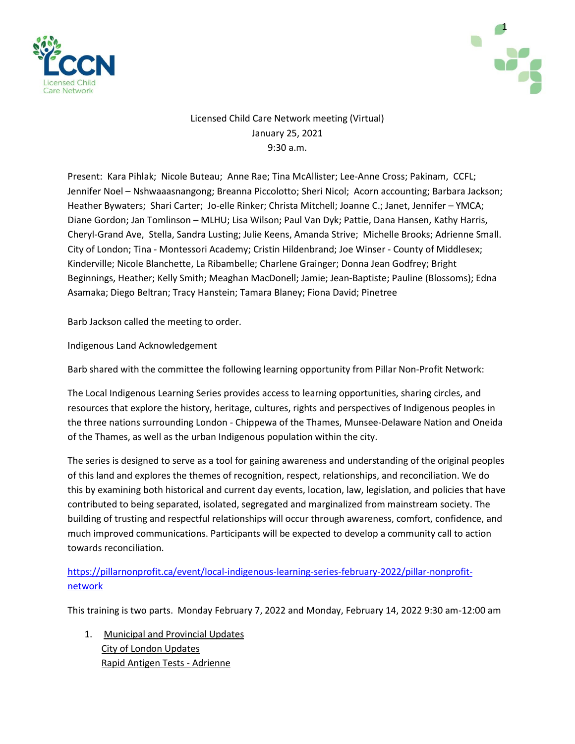



# Licensed Child Care Network meeting (Virtual) January 25, 2021 9:30 a.m.

Present: Kara Pihlak; Nicole Buteau; Anne Rae; Tina McAllister; Lee-Anne Cross; Pakinam, CCFL; Jennifer Noel – Nshwaaasnangong; Breanna Piccolotto; Sheri Nicol; Acorn accounting; Barbara Jackson; Heather Bywaters; Shari Carter; Jo-elle Rinker; Christa Mitchell; Joanne C.; Janet, Jennifer – YMCA; Diane Gordon; Jan Tomlinson – MLHU; Lisa Wilson; Paul Van Dyk; Pattie, Dana Hansen, Kathy Harris, Cheryl-Grand Ave, Stella, Sandra Lusting; Julie Keens, Amanda Strive; Michelle Brooks; Adrienne Small. City of London; Tina - Montessori Academy; Cristin Hildenbrand; Joe Winser - County of Middlesex; Kinderville; Nicole Blanchette, La Ribambelle; Charlene Grainger; Donna Jean Godfrey; Bright Beginnings, Heather; Kelly Smith; Meaghan MacDonell; Jamie; Jean-Baptiste; Pauline (Blossoms); Edna Asamaka; Diego Beltran; Tracy Hanstein; Tamara Blaney; Fiona David; Pinetree

Barb Jackson called the meeting to order.

Indigenous Land Acknowledgement

Barb shared with the committee the following learning opportunity from Pillar Non-Profit Network:

The Local Indigenous Learning Series provides access to learning opportunities, sharing circles, and resources that explore the history, heritage, cultures, rights and perspectives of Indigenous peoples in the three nations surrounding London - Chippewa of the Thames, Munsee-Delaware Nation and Oneida of the Thames, as well as the urban Indigenous population within the city.

The series is designed to serve as a tool for gaining awareness and understanding of the original peoples of this land and explores the themes of recognition, respect, relationships, and reconciliation. We do this by examining both historical and current day events, location, law, legislation, and policies that have contributed to being separated, isolated, segregated and marginalized from mainstream society. The building of trusting and respectful relationships will occur through awareness, comfort, confidence, and much improved communications. Participants will be expected to develop a community call to action towards reconciliation.

[https://pillarnonprofit.ca/event/local-indigenous-learning-series-february-2022/pillar-nonprofit](https://pillarnonprofit.ca/event/local-indigenous-learning-series-february-2022/pillar-nonprofit-network)[network](https://pillarnonprofit.ca/event/local-indigenous-learning-series-february-2022/pillar-nonprofit-network)

This training is two parts. Monday February 7, 2022 and Monday, February 14, 2022 9:30 am-12:00 am

1. Municipal and Provincial Updates City of London Updates Rapid Antigen Tests - Adrienne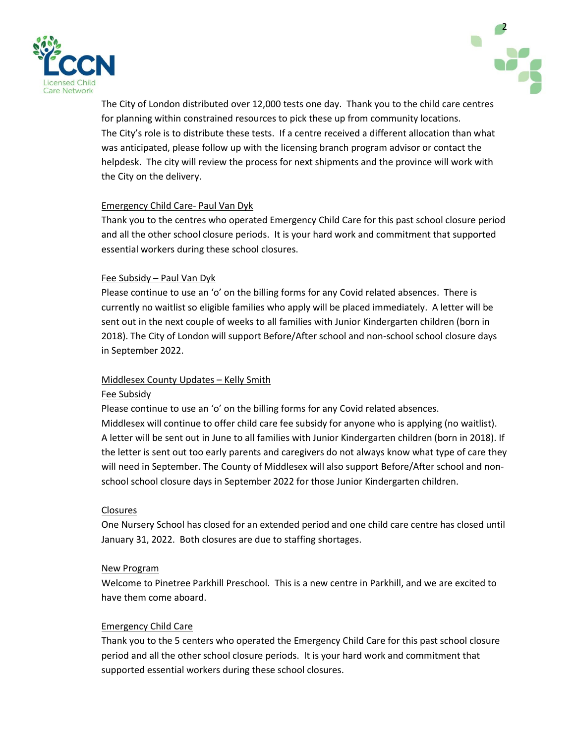



The City of London distributed over 12,000 tests one day. Thank you to the child care centres for planning within constrained resources to pick these up from community locations. The City's role is to distribute these tests. If a centre received a different allocation than what was anticipated, please follow up with the licensing branch program advisor or contact the helpdesk. The city will review the process for next shipments and the province will work with the City on the delivery.

### Emergency Child Care- Paul Van Dyk

Thank you to the centres who operated Emergency Child Care for this past school closure period and all the other school closure periods. It is your hard work and commitment that supported essential workers during these school closures.

### Fee Subsidy – Paul Van Dyk

Please continue to use an 'o' on the billing forms for any Covid related absences. There is currently no waitlist so eligible families who apply will be placed immediately. A letter will be sent out in the next couple of weeks to all families with Junior Kindergarten children (born in 2018). The City of London will support Before/After school and non-school school closure days in September 2022.

# Middlesex County Updates – Kelly Smith

### Fee Subsidy

Please continue to use an 'o' on the billing forms for any Covid related absences. Middlesex will continue to offer child care fee subsidy for anyone who is applying (no waitlist). A letter will be sent out in June to all families with Junior Kindergarten children (born in 2018). If the letter is sent out too early parents and caregivers do not always know what type of care they will need in September. The County of Middlesex will also support Before/After school and nonschool school closure days in September 2022 for those Junior Kindergarten children.

# Closures

One Nursery School has closed for an extended period and one child care centre has closed until January 31, 2022. Both closures are due to staffing shortages.

### New Program

Welcome to Pinetree Parkhill Preschool. This is a new centre in Parkhill, and we are excited to have them come aboard.

# Emergency Child Care

Thank you to the 5 centers who operated the Emergency Child Care for this past school closure period and all the other school closure periods. It is your hard work and commitment that supported essential workers during these school closures.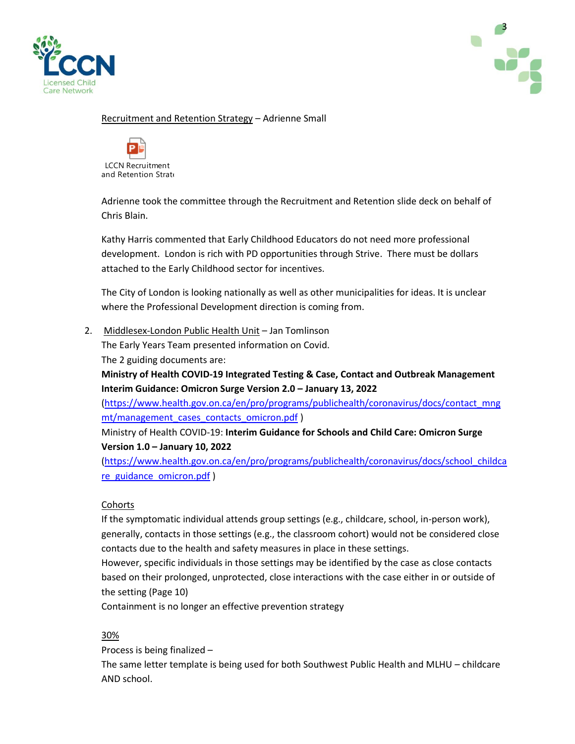



### Recruitment and Retention Strategy – Adrienne Small



Adrienne took the committee through the Recruitment and Retention slide deck on behalf of Chris Blain.

Kathy Harris commented that Early Childhood Educators do not need more professional development. London is rich with PD opportunities through Strive. There must be dollars attached to the Early Childhood sector for incentives.

The City of London is looking nationally as well as other municipalities for ideas. It is unclear where the Professional Development direction is coming from.

2. Middlesex-London Public Health Unit - Jan Tomlinson

The Early Years Team presented information on Covid. The 2 guiding documents are:

**Ministry of Health COVID-19 Integrated Testing & Case, Contact and Outbreak Management Interim Guidance: Omicron Surge Version 2.0 – January 13, 2022**

[\(https://www.health.gov.on.ca/en/pro/programs/publichealth/coronavirus/docs/contact\\_mng](https://www.health.gov.on.ca/en/pro/programs/publichealth/coronavirus/docs/contact_mngmt/management_cases_contacts_omicron.pdf) [mt/management\\_cases\\_contacts\\_omicron.pdf](https://www.health.gov.on.ca/en/pro/programs/publichealth/coronavirus/docs/contact_mngmt/management_cases_contacts_omicron.pdf) )

Ministry of Health COVID-19: **Interim Guidance for Schools and Child Care: Omicron Surge Version 1.0 – January 10, 2022**

[\(https://www.health.gov.on.ca/en/pro/programs/publichealth/coronavirus/docs/school\\_childca](https://www.health.gov.on.ca/en/pro/programs/publichealth/coronavirus/docs/school_childcare_guidance_omicron.pdf) re guidance omicron.pdf)

### **Cohorts**

If the symptomatic individual attends group settings (e.g., childcare, school, in-person work), generally, contacts in those settings (e.g., the classroom cohort) would not be considered close contacts due to the health and safety measures in place in these settings.

However, specific individuals in those settings may be identified by the case as close contacts based on their prolonged, unprotected, close interactions with the case either in or outside of the setting (Page 10)

Containment is no longer an effective prevention strategy

# 30%

Process is being finalized –

The same letter template is being used for both Southwest Public Health and MLHU – childcare AND school.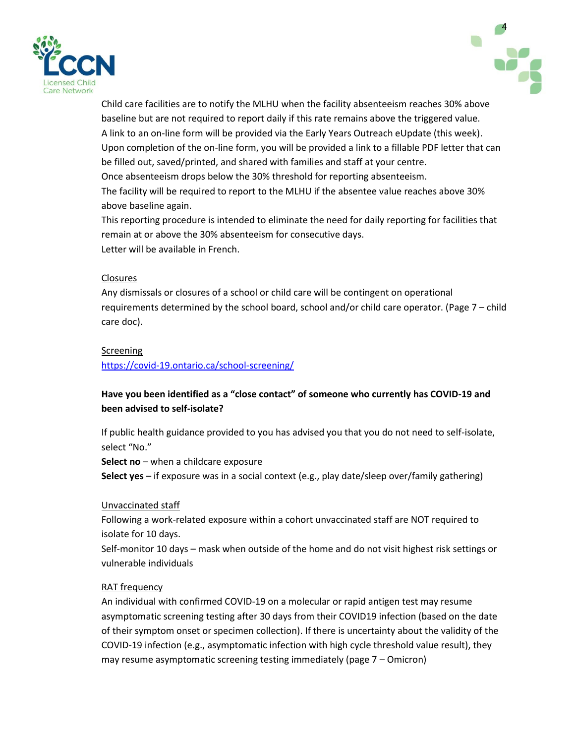



Child care facilities are to notify the MLHU when the facility absenteeism reaches 30% above baseline but are not required to report daily if this rate remains above the triggered value. A link to an on-line form will be provided via the Early Years Outreach eUpdate (this week). Upon completion of the on-line form, you will be provided a link to a fillable PDF letter that can be filled out, saved/printed, and shared with families and staff at your centre. Once absenteeism drops below the 30% threshold for reporting absenteeism. The facility will be required to report to the MLHU if the absentee value reaches above 30% above baseline again.

This reporting procedure is intended to eliminate the need for daily reporting for facilities that remain at or above the 30% absenteeism for consecutive days. Letter will be available in French.

### Closures

Any dismissals or closures of a school or child care will be contingent on operational requirements determined by the school board, school and/or child care operator. (Page 7 – child care doc).

# Screening

<https://covid-19.ontario.ca/school-screening/>

# **Have you been identified as a "close contact" of someone who currently has COVID-19 and been advised to self-isolate?**

If public health guidance provided to you has advised you that you do not need to self-isolate, select "No."

**Select no** – when a childcare exposure

**Select yes** – if exposure was in a social context (e.g., play date/sleep over/family gathering)

### Unvaccinated staff

Following a work-related exposure within a cohort unvaccinated staff are NOT required to isolate for 10 days.

Self-monitor 10 days – mask when outside of the home and do not visit highest risk settings or vulnerable individuals

# RAT frequency

An individual with confirmed COVID-19 on a molecular or rapid antigen test may resume asymptomatic screening testing after 30 days from their COVID19 infection (based on the date of their symptom onset or specimen collection). If there is uncertainty about the validity of the COVID-19 infection (e.g., asymptomatic infection with high cycle threshold value result), they may resume asymptomatic screening testing immediately (page 7 – Omicron)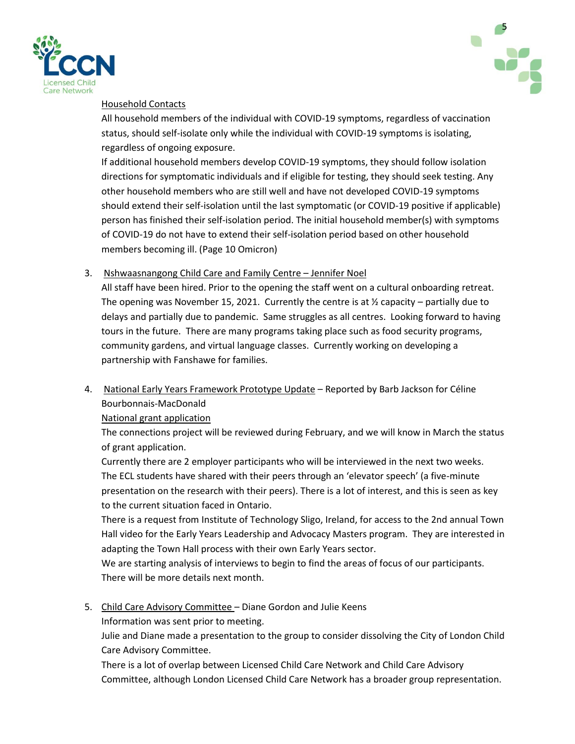



### Household Contacts

All household members of the individual with COVID-19 symptoms, regardless of vaccination status, should self-isolate only while the individual with COVID-19 symptoms is isolating, regardless of ongoing exposure.

If additional household members develop COVID-19 symptoms, they should follow isolation directions for symptomatic individuals and if eligible for testing, they should seek testing. Any other household members who are still well and have not developed COVID-19 symptoms should extend their self-isolation until the last symptomatic (or COVID-19 positive if applicable) person has finished their self-isolation period. The initial household member(s) with symptoms of COVID-19 do not have to extend their self-isolation period based on other household members becoming ill. (Page 10 Omicron)

# 3. Nshwaasnangong Child Care and Family Centre – Jennifer Noel

All staff have been hired. Prior to the opening the staff went on a cultural onboarding retreat. The opening was November 15, 2021. Currently the centre is at  $\frac{1}{2}$  capacity – partially due to delays and partially due to pandemic. Same struggles as all centres. Looking forward to having tours in the future. There are many programs taking place such as food security programs, community gardens, and virtual language classes. Currently working on developing a partnership with Fanshawe for families.

4. National Early Years Framework Prototype Update - Reported by Barb Jackson for Céline Bourbonnais-MacDonald

National grant application

The connections project will be reviewed during February, and we will know in March the status of grant application.

Currently there are 2 employer participants who will be interviewed in the next two weeks. The ECL students have shared with their peers through an 'elevator speech' (a five-minute presentation on the research with their peers). There is a lot of interest, and this is seen as key to the current situation faced in Ontario.

There is a request from Institute of Technology Sligo, Ireland, for access to the 2nd annual Town Hall video for the Early Years Leadership and Advocacy Masters program. They are interested in adapting the Town Hall process with their own Early Years sector.

We are starting analysis of interviews to begin to find the areas of focus of our participants. There will be more details next month.

5. Child Care Advisory Committee – Diane Gordon and Julie Keens

Information was sent prior to meeting.

Julie and Diane made a presentation to the group to consider dissolving the City of London Child Care Advisory Committee.

There is a lot of overlap between Licensed Child Care Network and Child Care Advisory Committee, although London Licensed Child Care Network has a broader group representation.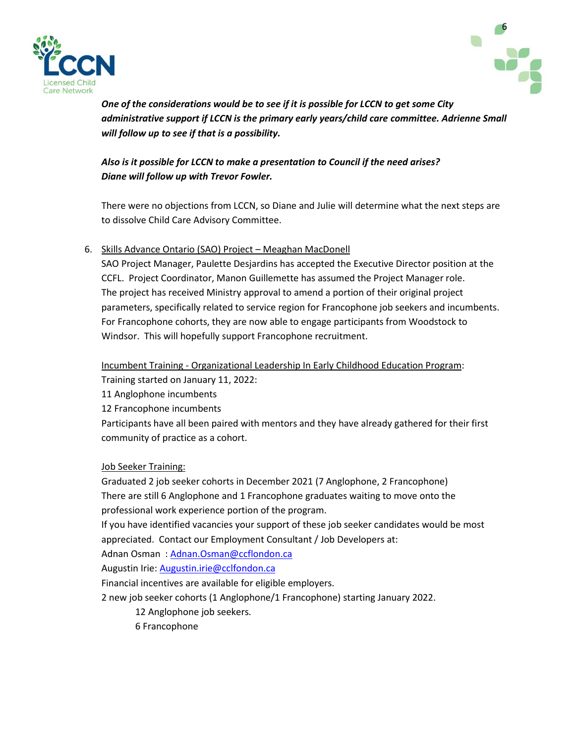



*One of the considerations would be to see if it is possible for LCCN to get some City administrative support if LCCN is the primary early years/child care committee. Adrienne Small will follow up to see if that is a possibility.*

# *Also is it possible for LCCN to make a presentation to Council if the need arises? Diane will follow up with Trevor Fowler.*

There were no objections from LCCN, so Diane and Julie will determine what the next steps are to dissolve Child Care Advisory Committee.

# 6. Skills Advance Ontario (SAO) Project – Meaghan MacDonell

SAO Project Manager, Paulette Desjardins has accepted the Executive Director position at the CCFL. Project Coordinator, Manon Guillemette has assumed the Project Manager role. The project has received Ministry approval to amend a portion of their original project parameters, specifically related to service region for Francophone job seekers and incumbents. For Francophone cohorts, they are now able to engage participants from Woodstock to Windsor. This will hopefully support Francophone recruitment.

Incumbent Training - Organizational Leadership In Early Childhood Education Program:

Training started on January 11, 2022:

11 Anglophone incumbents

12 Francophone incumbents

Participants have all been paired with mentors and they have already gathered for their first community of practice as a cohort.

Job Seeker Training:

Graduated 2 job seeker cohorts in December 2021 (7 Anglophone, 2 Francophone) There are still 6 Anglophone and 1 Francophone graduates waiting to move onto the professional work experience portion of the program.

If you have identified vacancies your support of these job seeker candidates would be most appreciated. Contact our Employment Consultant / Job Developers at:

Adnan Osman : [Adnan.Osman@ccflondon.ca](mailto:Adnan.Osman@ccflondon.ca)

Augustin Irie: [Augustin.irie@cclfondon.ca](mailto:Augustin.irie@cclfondon.ca)

Financial incentives are available for eligible employers.

2 new job seeker cohorts (1 Anglophone/1 Francophone) starting January 2022.

12 Anglophone job seekers.

6 Francophone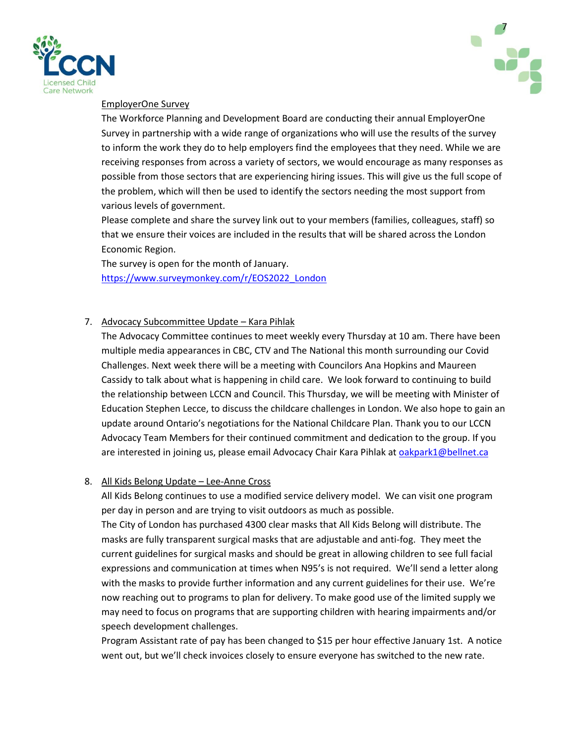



### EmployerOne Survey

The Workforce Planning and Development Board are conducting their annual EmployerOne Survey in partnership with a wide range of organizations who will use the results of the survey to inform the work they do to help employers find the employees that they need. While we are receiving responses from across a variety of sectors, we would encourage as many responses as possible from those sectors that are experiencing hiring issues. This will give us the full scope of the problem, which will then be used to identify the sectors needing the most support from various levels of government.

Please complete and share the survey link out to your members (families, colleagues, staff) so that we ensure their voices are included in the results that will be shared across the London Economic Region.

The survey is open for the month of January. [https://www.surveymonkey.com/r/EOS2022\\_London](https://www.surveymonkey.com/r/EOS2022_London)

# 7. Advocacy Subcommittee Update – Kara Pihlak

The Advocacy Committee continues to meet weekly every Thursday at 10 am. There have been multiple media appearances in CBC, CTV and The National this month surrounding our Covid Challenges. Next week there will be a meeting with Councilors Ana Hopkins and Maureen Cassidy to talk about what is happening in child care. We look forward to continuing to build the relationship between LCCN and Council. This Thursday, we will be meeting with Minister of Education Stephen Lecce, to discuss the childcare challenges in London. We also hope to gain an update around Ontario's negotiations for the National Childcare Plan. Thank you to our LCCN Advocacy Team Members for their continued commitment and dedication to the group. If you are interested in joining us, please email Advocacy Chair Kara Pihlak a[t oakpark1@bellnet.ca](mailto:oakpark1@bellnet.ca)

### 8. All Kids Belong Update – Lee-Anne Cross

All Kids Belong continues to use a modified service delivery model. We can visit one program per day in person and are trying to visit outdoors as much as possible.

The City of London has purchased 4300 clear masks that All Kids Belong will distribute. The masks are fully transparent surgical masks that are adjustable and anti-fog. They meet the current guidelines for surgical masks and should be great in allowing children to see full facial expressions and communication at times when N95's is not required. We'll send a letter along with the masks to provide further information and any current guidelines for their use. We're now reaching out to programs to plan for delivery. To make good use of the limited supply we may need to focus on programs that are supporting children with hearing impairments and/or speech development challenges.

Program Assistant rate of pay has been changed to \$15 per hour effective January 1st. A notice went out, but we'll check invoices closely to ensure everyone has switched to the new rate.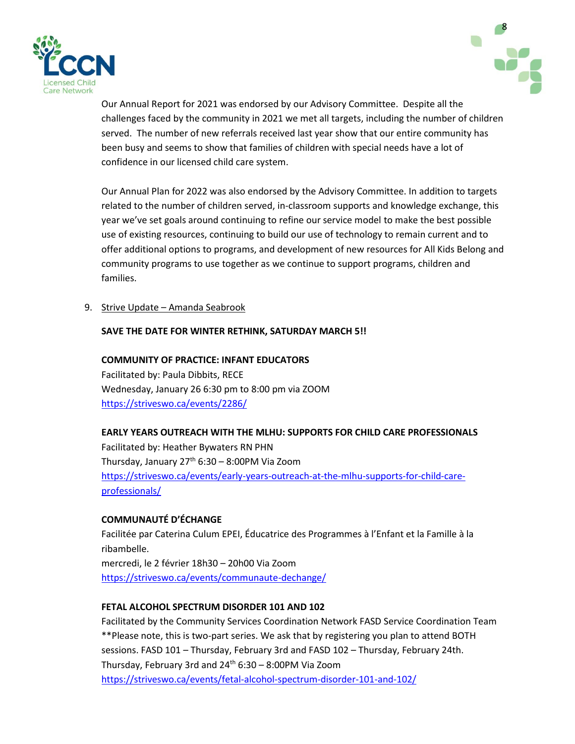



Our Annual Report for 2021 was endorsed by our Advisory Committee. Despite all the challenges faced by the community in 2021 we met all targets, including the number of children served. The number of new referrals received last year show that our entire community has been busy and seems to show that families of children with special needs have a lot of confidence in our licensed child care system.

Our Annual Plan for 2022 was also endorsed by the Advisory Committee. In addition to targets related to the number of children served, in-classroom supports and knowledge exchange, this year we've set goals around continuing to refine our service model to make the best possible use of existing resources, continuing to build our use of technology to remain current and to offer additional options to programs, and development of new resources for All Kids Belong and community programs to use together as we continue to support programs, children and families.

9. Strive Update – Amanda Seabrook

### **SAVE THE DATE FOR WINTER RETHINK, SATURDAY MARCH 5!!**

### **COMMUNITY OF PRACTICE: INFANT EDUCATORS**

Facilitated by: Paula Dibbits, RECE Wednesday, January 26 6:30 pm to 8:00 pm via ZOOM <https://striveswo.ca/events/2286/>

# **EARLY YEARS OUTREACH WITH THE MLHU: SUPPORTS FOR CHILD CARE PROFESSIONALS** Facilitated by: Heather Bywaters RN PHN Thursday, January  $27<sup>th</sup> 6:30 - 8:00$ PM Via Zoom [https://striveswo.ca/events/early-years-outreach-at-the-mlhu-supports-for-child-care](https://striveswo.ca/events/early-years-outreach-at-the-mlhu-supports-for-child-care-professionals/)[professionals/](https://striveswo.ca/events/early-years-outreach-at-the-mlhu-supports-for-child-care-professionals/)

# **COMMUNAUTÉ D'ÉCHANGE**

Facilitée par Caterina Culum EPEI, Éducatrice des Programmes à l'Enfant et la Famille à la ribambelle.

mercredi, le 2 février 18h30 – 20h00 Via Zoom <https://striveswo.ca/events/communaute-dechange/>

# **FETAL ALCOHOL SPECTRUM DISORDER 101 AND 102**

Facilitated by the Community Services Coordination Network FASD Service Coordination Team \*\*Please note, this is two-part series. We ask that by registering you plan to attend BOTH sessions. FASD 101 – Thursday, February 3rd and FASD 102 – Thursday, February 24th. Thursday, February 3rd and  $24<sup>th</sup> 6:30 - 8:00$ PM Via Zoom <https://striveswo.ca/events/fetal-alcohol-spectrum-disorder-101-and-102/>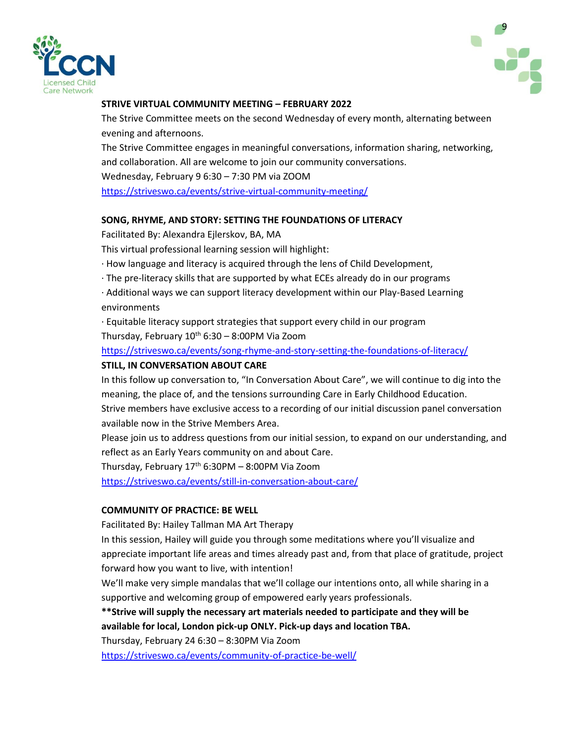



### **STRIVE VIRTUAL COMMUNITY MEETING – FEBRUARY 2022**

The Strive Committee meets on the second Wednesday of every month, alternating between evening and afternoons.

The Strive Committee engages in meaningful conversations, information sharing, networking, and collaboration. All are welcome to join our community conversations. Wednesday, February 9 6:30 – 7:30 PM via ZOOM <https://striveswo.ca/events/strive-virtual-community-meeting/>

#### **SONG, RHYME, AND STORY: SETTING THE FOUNDATIONS OF LITERACY**

Facilitated By: Alexandra Ejlerskov, BA, MA

This virtual professional learning session will highlight:

· How language and literacy is acquired through the lens of Child Development,

· The pre-literacy skills that are supported by what ECEs already do in our programs

· Additional ways we can support literacy development within our Play-Based Learning environments

· Equitable literacy support strategies that support every child in our program Thursday, February  $10^{th}$  6:30 – 8:00PM Via Zoom

<https://striveswo.ca/events/song-rhyme-and-story-setting-the-foundations-of-literacy/>

#### **STILL, IN CONVERSATION ABOUT CARE**

In this follow up conversation to, "In Conversation About Care", we will continue to dig into the meaning, the place of, and the tensions surrounding Care in Early Childhood Education.

Strive members have exclusive access to a recording of our initial discussion panel conversation available now in the Strive Members Area.

Please join us to address questions from our initial session, to expand on our understanding, and reflect as an Early Years community on and about Care.

Thursday, February  $17<sup>th</sup>$  6:30PM – 8:00PM Via Zoom

<https://striveswo.ca/events/still-in-conversation-about-care/>

### **COMMUNITY OF PRACTICE: BE WELL**

Facilitated By: Hailey Tallman MA Art Therapy

In this session, Hailey will guide you through some meditations where you'll visualize and appreciate important life areas and times already past and, from that place of gratitude, project forward how you want to live, with intention!

We'll make very simple mandalas that we'll collage our intentions onto, all while sharing in a supportive and welcoming group of empowered early years professionals.

**\*\*Strive will supply the necessary art materials needed to participate and they will be available for local, London pick-up ONLY. Pick-up days and location TBA.**

Thursday, February 24 6:30 – 8:30PM Via Zoom

<https://striveswo.ca/events/community-of-practice-be-well/>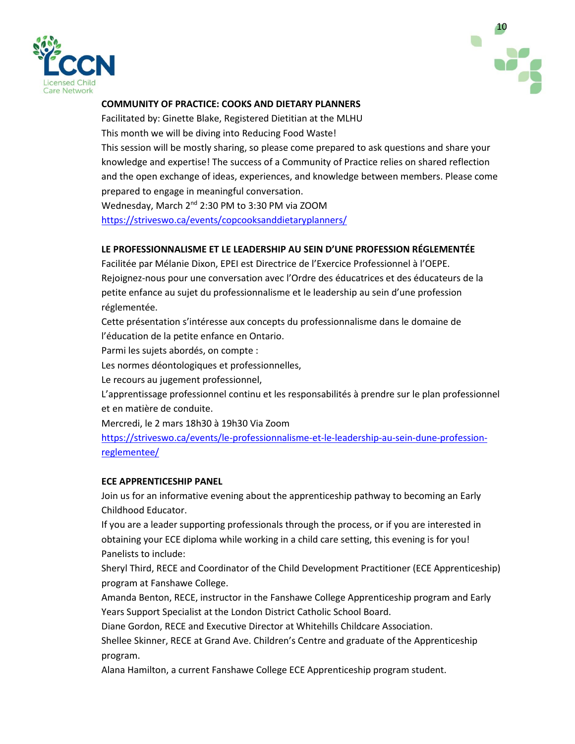



### **COMMUNITY OF PRACTICE: COOKS AND DIETARY PLANNERS**

Facilitated by: Ginette Blake, Registered Dietitian at the MLHU This month we will be diving into Reducing Food Waste! This session will be mostly sharing, so please come prepared to ask questions and share your knowledge and expertise! The success of a Community of Practice relies on shared reflection and the open exchange of ideas, experiences, and knowledge between members. Please come prepared to engage in meaningful conversation.

Wednesday, March 2nd 2:30 PM to 3:30 PM via ZOOM <https://striveswo.ca/events/copcooksanddietaryplanners/>

### **LE PROFESSIONNALISME ET LE LEADERSHIP AU SEIN D'UNE PROFESSION RÉGLEMENTÉE**

Facilitée par Mélanie Dixon, EPEI est Directrice de l'Exercice Professionnel à l'OEPE. Rejoignez-nous pour une conversation avec l'Ordre des éducatrices et des éducateurs de la petite enfance au sujet du professionnalisme et le leadership au sein d'une profession réglementée.

Cette présentation s'intéresse aux concepts du professionnalisme dans le domaine de l'éducation de la petite enfance en Ontario.

Parmi les sujets abordés, on compte :

Les normes déontologiques et professionnelles,

Le recours au jugement professionnel,

L'apprentissage professionnel continu et les responsabilités à prendre sur le plan professionnel et en matière de conduite.

Mercredi, le 2 mars 18h30 à 19h30 Via Zoom

[https://striveswo.ca/events/le-professionnalisme-et-le-leadership-au-sein-dune-profession](https://striveswo.ca/events/le-professionnalisme-et-le-leadership-au-sein-dune-profession-reglementee/)[reglementee/](https://striveswo.ca/events/le-professionnalisme-et-le-leadership-au-sein-dune-profession-reglementee/)

### **ECE APPRENTICESHIP PANEL**

Join us for an informative evening about the apprenticeship pathway to becoming an Early Childhood Educator.

If you are a leader supporting professionals through the process, or if you are interested in obtaining your ECE diploma while working in a child care setting, this evening is for you! Panelists to include:

Sheryl Third, RECE and Coordinator of the Child Development Practitioner (ECE Apprenticeship) program at Fanshawe College.

Amanda Benton, RECE, instructor in the Fanshawe College Apprenticeship program and Early Years Support Specialist at the London District Catholic School Board.

Diane Gordon, RECE and Executive Director at Whitehills Childcare Association.

Shellee Skinner, RECE at Grand Ave. Children's Centre and graduate of the Apprenticeship program.

Alana Hamilton, a current Fanshawe College ECE Apprenticeship program student.